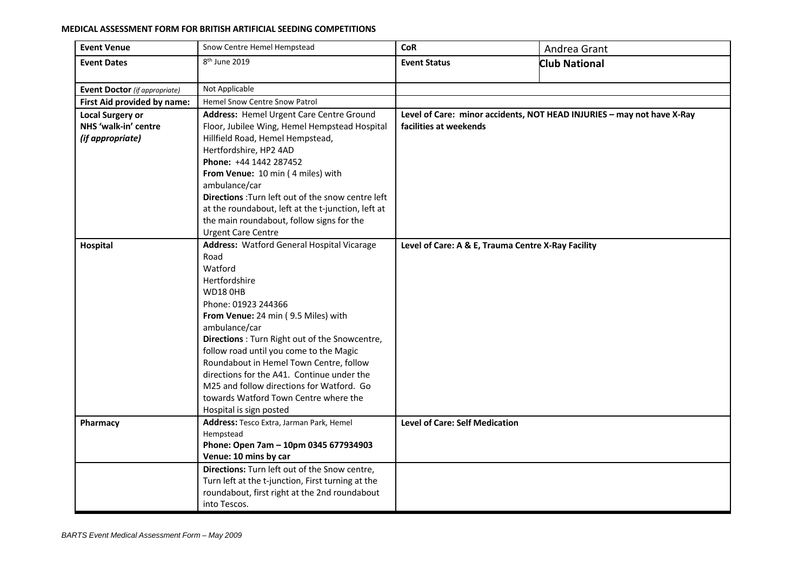## **MEDICAL ASSESSMENT FORM FOR BRITISH ARTIFICIAL SEEDING COMPETITIONS**

| <b>Event Venue</b>                   | Snow Centre Hemel Hempstead                                                        | <b>CoR</b>                                                             | Andrea Grant         |  |  |
|--------------------------------------|------------------------------------------------------------------------------------|------------------------------------------------------------------------|----------------------|--|--|
| <b>Event Dates</b>                   | 8 <sup>th</sup> June 2019                                                          | <b>Event Status</b>                                                    | <b>Club National</b> |  |  |
|                                      |                                                                                    |                                                                        |                      |  |  |
| <b>Event Doctor</b> (if appropriate) | Not Applicable                                                                     |                                                                        |                      |  |  |
| First Aid provided by name:          | <b>Hemel Snow Centre Snow Patrol</b>                                               |                                                                        |                      |  |  |
| <b>Local Surgery or</b>              | Address: Hemel Urgent Care Centre Ground                                           | Level of Care: minor accidents, NOT HEAD INJURIES - may not have X-Ray |                      |  |  |
| NHS 'walk-in' centre                 | Floor, Jubilee Wing, Hemel Hempstead Hospital                                      | facilities at weekends                                                 |                      |  |  |
| (if appropriate)                     | Hillfield Road, Hemel Hempstead,                                                   |                                                                        |                      |  |  |
|                                      | Hertfordshire, HP2 4AD                                                             |                                                                        |                      |  |  |
|                                      | Phone: +44 1442 287452                                                             |                                                                        |                      |  |  |
|                                      | From Venue: 10 min (4 miles) with                                                  |                                                                        |                      |  |  |
|                                      | ambulance/car                                                                      |                                                                        |                      |  |  |
|                                      | Directions : Turn left out of the snow centre left                                 |                                                                        |                      |  |  |
|                                      | at the roundabout, left at the t-junction, left at                                 |                                                                        |                      |  |  |
|                                      | the main roundabout, follow signs for the                                          |                                                                        |                      |  |  |
|                                      | <b>Urgent Care Centre</b>                                                          |                                                                        |                      |  |  |
| Hospital                             | <b>Address: Watford General Hospital Vicarage</b>                                  | Level of Care: A & E, Trauma Centre X-Ray Facility                     |                      |  |  |
|                                      | Road                                                                               |                                                                        |                      |  |  |
|                                      | Watford                                                                            |                                                                        |                      |  |  |
|                                      | Hertfordshire                                                                      |                                                                        |                      |  |  |
|                                      | <b>WD18 0HB</b>                                                                    |                                                                        |                      |  |  |
|                                      | Phone: 01923 244366                                                                |                                                                        |                      |  |  |
|                                      | From Venue: 24 min (9.5 Miles) with                                                |                                                                        |                      |  |  |
|                                      | ambulance/car                                                                      |                                                                        |                      |  |  |
|                                      | Directions : Turn Right out of the Snowcentre,                                     |                                                                        |                      |  |  |
|                                      | follow road until you come to the Magic<br>Roundabout in Hemel Town Centre, follow |                                                                        |                      |  |  |
|                                      | directions for the A41. Continue under the                                         |                                                                        |                      |  |  |
|                                      | M25 and follow directions for Watford. Go                                          |                                                                        |                      |  |  |
|                                      | towards Watford Town Centre where the                                              |                                                                        |                      |  |  |
|                                      | Hospital is sign posted                                                            |                                                                        |                      |  |  |
| Pharmacy                             | Address: Tesco Extra, Jarman Park, Hemel                                           | <b>Level of Care: Self Medication</b>                                  |                      |  |  |
|                                      | Hempstead                                                                          |                                                                        |                      |  |  |
|                                      | Phone: Open 7am - 10pm 0345 677934903                                              |                                                                        |                      |  |  |
|                                      | Venue: 10 mins by car                                                              |                                                                        |                      |  |  |
|                                      | Directions: Turn left out of the Snow centre,                                      |                                                                        |                      |  |  |
|                                      | Turn left at the t-junction, First turning at the                                  |                                                                        |                      |  |  |
|                                      | roundabout, first right at the 2nd roundabout                                      |                                                                        |                      |  |  |
|                                      | into Tescos.                                                                       |                                                                        |                      |  |  |